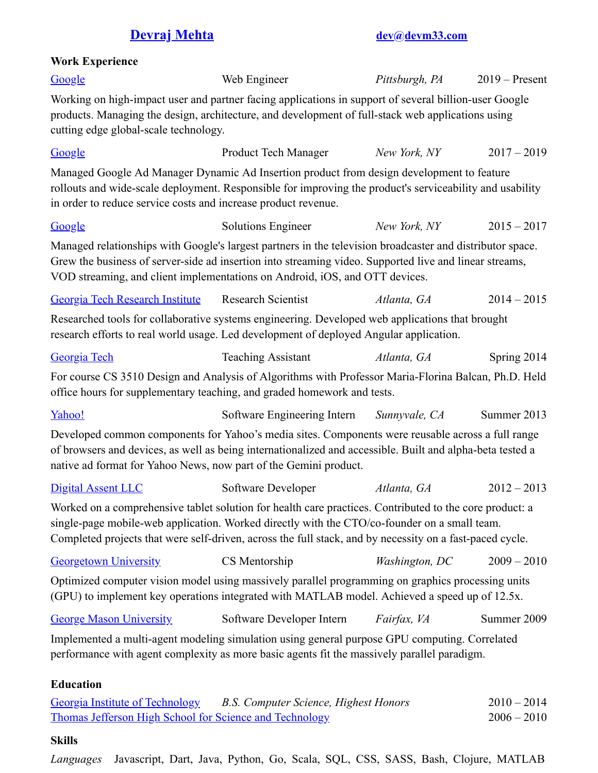## **[Devraj](https://www.linkedin.com/in/devrajmehta) Mehta [dev@devm33.com](mailto:dev@devm33.com)**

## **Work Experience**

| Google                                                                                                                                                                                                                                                                                                              | Web Engineer                          | Pittsburgh, PA | $2019$ – Present               |
|---------------------------------------------------------------------------------------------------------------------------------------------------------------------------------------------------------------------------------------------------------------------------------------------------------------------|---------------------------------------|----------------|--------------------------------|
| Working on high-impact user and partner facing applications in support of several billion-user Google<br>products. Managing the design, architecture, and development of full-stack web applications using<br>cutting edge global-scale technology.                                                                 |                                       |                |                                |
| Google                                                                                                                                                                                                                                                                                                              | Product Tech Manager                  | New York, NY   | $2017 - 2019$                  |
| Managed Google Ad Manager Dynamic Ad Insertion product from design development to feature<br>rollouts and wide-scale deployment. Responsible for improving the product's serviceability and usability<br>in order to reduce service costs and increase product revenue.                                             |                                       |                |                                |
| Google                                                                                                                                                                                                                                                                                                              | <b>Solutions Engineer</b>             | New York, NY   | $2015 - 2017$                  |
| Managed relationships with Google's largest partners in the television broadcaster and distributor space.<br>Grew the business of server-side ad insertion into streaming video. Supported live and linear streams,<br>VOD streaming, and client implementations on Android, iOS, and OTT devices.                  |                                       |                |                                |
| <b>Georgia Tech Research Institute</b>                                                                                                                                                                                                                                                                              | <b>Research Scientist</b>             | Atlanta, GA    | $2014 - 2015$                  |
| Researched tools for collaborative systems engineering. Developed web applications that brought<br>research efforts to real world usage. Led development of deployed Angular application.                                                                                                                           |                                       |                |                                |
| Georgia Tech                                                                                                                                                                                                                                                                                                        | <b>Teaching Assistant</b>             | Atlanta, GA    | Spring 2014                    |
| For course CS 3510 Design and Analysis of Algorithms with Professor Maria-Florina Balcan, Ph.D. Held<br>office hours for supplementary teaching, and graded homework and tests.                                                                                                                                     |                                       |                |                                |
| Yahoo!                                                                                                                                                                                                                                                                                                              | Software Engineering Intern           | Sunnyvale, CA  | Summer 2013                    |
| Developed common components for Yahoo's media sites. Components were reusable across a full range<br>of browsers and devices, as well as being internationalized and accessible. Built and alpha-beta tested a<br>native ad format for Yahoo News, now part of the Gemini product.                                  |                                       |                |                                |
| <b>Digital Assent LLC</b>                                                                                                                                                                                                                                                                                           | Software Developer                    | Atlanta, GA    | $2012 - 2013$                  |
| Worked on a comprehensive tablet solution for health care practices. Contributed to the core product: a<br>single-page mobile-web application. Worked directly with the CTO/co-founder on a small team.<br>Completed projects that were self-driven, across the full stack, and by necessity on a fast-paced cycle. |                                       |                |                                |
| <b>Georgetown University</b>                                                                                                                                                                                                                                                                                        | CS Mentorship                         | Washington, DC | $2009 - 2010$                  |
| Optimized computer vision model using massively parallel programming on graphics processing units<br>(GPU) to implement key operations integrated with MATLAB model. Achieved a speed up of 12.5x.                                                                                                                  |                                       |                |                                |
| <b>George Mason University</b>                                                                                                                                                                                                                                                                                      | Software Developer Intern             | Fairfax, VA    | Summer 2009                    |
| Implemented a multi-agent modeling simulation using general purpose GPU computing. Correlated<br>performance with agent complexity as more basic agents fit the massively parallel paradigm.                                                                                                                        |                                       |                |                                |
| <b>Education</b>                                                                                                                                                                                                                                                                                                    |                                       |                |                                |
| <b>Georgia Institute of Technology</b><br>Thomas Jefferson High School for Science and Technology                                                                                                                                                                                                                   | B.S. Computer Science, Highest Honors |                | $2010 - 2014$<br>$2006 - 2010$ |

## **Skills**

*Languages* Javascript, Dart, Java, Python, Go, Scala, SQL, CSS, SASS, Bash, Clojure, MATLAB